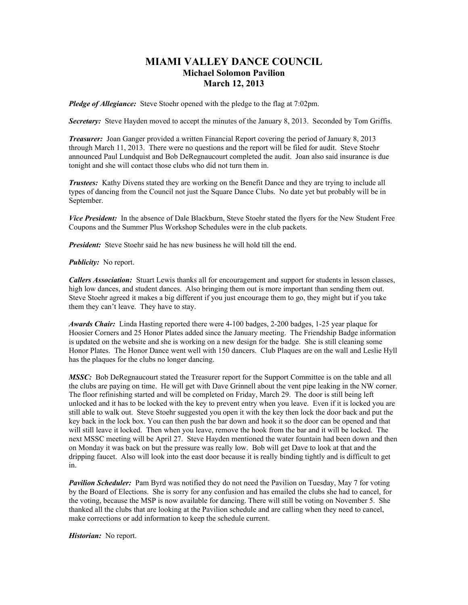## **MIAMI VALLEY DANCE COUNCIL Michael Solomon Pavilion March 12, 2013**

*Pledge of Allegiance:* Steve Stoehr opened with the pledge to the flag at 7:02pm.

**Secretary:** Steve Hayden moved to accept the minutes of the January 8, 2013. Seconded by Tom Griffis.

*Treasurer:* Joan Ganger provided a written Financial Report covering the period of January 8, 2013 through March 11, 2013. There were no questions and the report will be filed for audit. Steve Stoehr announced Paul Lundquist and Bob DeRegnaucourt completed the audit. Joan also said insurance is due tonight and she will contact those clubs who did not turn them in.

*Trustees:* Kathy Divens stated they are working on the Benefit Dance and they are trying to include all types of dancing from the Council not just the Square Dance Clubs. No date yet but probably will be in September.

*Vice President:* In the absence of Dale Blackburn, Steve Stoehr stated the flyers for the New Student Free Coupons and the Summer Plus Workshop Schedules were in the club packets.

*President:* Steve Stoehr said he has new business he will hold till the end.

*Publicity:* No report.

*Callers Association:* Stuart Lewis thanks all for encouragement and support for students in lesson classes, high low dances, and student dances. Also bringing them out is more important than sending them out. Steve Stoehr agreed it makes a big different if you just encourage them to go, they might but if you take them they can't leave. They have to stay.

*Awards Chair:* Linda Hasting reported there were 4-100 badges, 2-200 badges, 1-25 year plaque for Hoosier Corners and 25 Honor Plates added since the January meeting. The Friendship Badge information is updated on the website and she is working on a new design for the badge. She is still cleaning some Honor Plates. The Honor Dance went well with 150 dancers. Club Plaques are on the wall and Leslie Hyll has the plaques for the clubs no longer dancing.

*MSSC:* Bob DeRegnaucourt stated the Treasurer report for the Support Committee is on the table and all the clubs are paying on time. He will get with Dave Grinnell about the vent pipe leaking in the NW corner. The floor refinishing started and will be completed on Friday, March 29. The door is still being left unlocked and it has to be locked with the key to prevent entry when you leave. Even if it is locked you are still able to walk out. Steve Stoehr suggested you open it with the key then lock the door back and put the key back in the lock box. You can then push the bar down and hook it so the door can be opened and that will still leave it locked. Then when you leave, remove the hook from the bar and it will be locked. The next MSSC meeting will be April 27. Steve Hayden mentioned the water fountain had been down and then on Monday it was back on but the pressure was really low. Bob will get Dave to look at that and the dripping faucet. Also will look into the east door because it is really binding tightly and is difficult to get in.

*Pavilion Scheduler:* Pam Byrd was notified they do not need the Pavilion on Tuesday, May 7 for voting by the Board of Elections. She is sorry for any confusion and has emailed the clubs she had to cancel, for the voting, because the MSP is now available for dancing. There will still be voting on November 5. She thanked all the clubs that are looking at the Pavilion schedule and are calling when they need to cancel, make corrections or add information to keep the schedule current.

*Historian:* No report.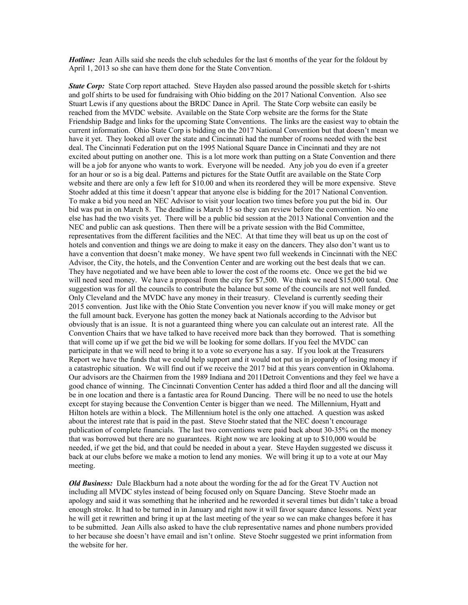*Hotline:* Jean Aills said she needs the club schedules for the last 6 months of the year for the foldout by April 1, 2013 so she can have them done for the State Convention.

*State Corp:* State Corp report attached. Steve Hayden also passed around the possible sketch for t-shirts and golf shirts to be used for fundraising with Ohio bidding on the 2017 National Convention. Also see Stuart Lewis if any questions about the BRDC Dance in April. The State Corp website can easily be reached from the MVDC website. Available on the State Corp website are the forms for the State Friendship Badge and links for the upcoming State Conventions. The links are the easiest way to obtain the current information. Ohio State Corp is bidding on the 2017 National Convention but that doesn't mean we have it yet. They looked all over the state and Cincinnati had the number of rooms needed with the best deal. The Cincinnati Federation put on the 1995 National Square Dance in Cincinnati and they are not excited about putting on another one. This is a lot more work than putting on a State Convention and there will be a job for anyone who wants to work. Everyone will be needed. Any job you do even if a greeter for an hour or so is a big deal. Patterns and pictures for the State Outfit are available on the State Corp website and there are only a few left for \$10.00 and when its reordered they will be more expensive. Steve Stoehr added at this time it doesn't appear that anyone else is bidding for the 2017 National Convention. To make a bid you need an NEC Advisor to visit your location two times before you put the bid in. Our bid was put in on March 8. The deadline is March 15 so they can review before the convention. No one else has had the two visits yet. There will be a public bid session at the 2013 National Convention and the NEC and public can ask questions. Then there will be a private session with the Bid Committee, representatives from the different facilities and the NEC. At that time they will beat us up on the cost of hotels and convention and things we are doing to make it easy on the dancers. They also don't want us to have a convention that doesn't make money. We have spent two full weekends in Cincinnati with the NEC Advisor, the City, the hotels, and the Convention Center and are working out the best deals that we can. They have negotiated and we have been able to lower the cost of the rooms etc. Once we get the bid we will need seed money. We have a proposal from the city for \$7,500. We think we need \$15,000 total. One suggestion was for all the councils to contribute the balance but some of the councils are not well funded. Only Cleveland and the MVDC have any money in their treasury. Cleveland is currently seeding their 2015 convention. Just like with the Ohio State Convention you never know if you will make money or get the full amount back. Everyone has gotten the money back at Nationals according to the Advisor but obviously that is an issue. It is not a guaranteed thing where you can calculate out an interest rate. All the Convention Chairs that we have talked to have received more back than they borrowed. That is something that will come up if we get the bid we will be looking for some dollars. If you feel the MVDC can participate in that we will need to bring it to a vote so everyone has a say. If you look at the Treasurers Report we have the funds that we could help support and it would not put us in jeopardy of losing money if a catastrophic situation. We will find out if we receive the 2017 bid at this years convention in Oklahoma. Our advisors are the Chairmen from the 1989 Indiana and 2011Detroit Conventions and they feel we have a good chance of winning. The Cincinnati Convention Center has added a third floor and all the dancing will be in one location and there is a fantastic area for Round Dancing. There will be no need to use the hotels except for staying because the Convention Center is bigger than we need. The Millennium, Hyatt and Hilton hotels are within a block. The Millennium hotel is the only one attached. A question was asked about the interest rate that is paid in the past. Steve Stoehr stated that the NEC doesn't encourage publication of complete financials. The last two conventions were paid back about 30-35% on the money that was borrowed but there are no guarantees. Right now we are looking at up to \$10,000 would be needed, if we get the bid, and that could be needed in about a year. Steve Hayden suggested we discuss it back at our clubs before we make a motion to lend any monies. We will bring it up to a vote at our May meeting.

*Old Business:* Dale Blackburn had a note about the wording for the ad for the Great TV Auction not including all MVDC styles instead of being focused only on Square Dancing. Steve Stoehr made an apology and said it was something that he inherited and he reworded it several times but didn't take a broad enough stroke. It had to be turned in in January and right now it will favor square dance lessons. Next year he will get it rewritten and bring it up at the last meeting of the year so we can make changes before it has to be submitted. Jean Aills also asked to have the club representative names and phone numbers provided to her because she doesn't have email and isn't online. Steve Stoehr suggested we print information from the website for her.